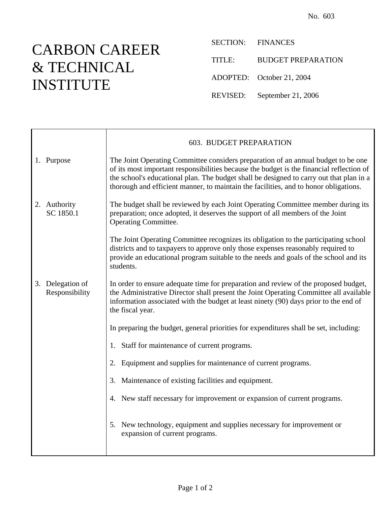## CARBON CAREER & TECHNICAL INSTITUTE

SECTION: FINANCES TITLE: BUDGET PREPARATION ADOPTED: October 21, 2004

REVISED: September 21, 2006

|                                    | 603. BUDGET PREPARATION                                                                                                                                                                                                                                                                                                                                          |
|------------------------------------|------------------------------------------------------------------------------------------------------------------------------------------------------------------------------------------------------------------------------------------------------------------------------------------------------------------------------------------------------------------|
| 1. Purpose                         | The Joint Operating Committee considers preparation of an annual budget to be one<br>of its most important responsibilities because the budget is the financial reflection of<br>the school's educational plan. The budget shall be designed to carry out that plan in a<br>thorough and efficient manner, to maintain the facilities, and to honor obligations. |
| 2. Authority<br>SC 1850.1          | The budget shall be reviewed by each Joint Operating Committee member during its<br>preparation; once adopted, it deserves the support of all members of the Joint<br><b>Operating Committee.</b>                                                                                                                                                                |
|                                    | The Joint Operating Committee recognizes its obligation to the participating school<br>districts and to taxpayers to approve only those expenses reasonably required to<br>provide an educational program suitable to the needs and goals of the school and its<br>students.                                                                                     |
| 3. Delegation of<br>Responsibility | In order to ensure adequate time for preparation and review of the proposed budget,<br>the Administrative Director shall present the Joint Operating Committee all available<br>information associated with the budget at least ninety (90) days prior to the end of<br>the fiscal year.                                                                         |
|                                    | In preparing the budget, general priorities for expenditures shall be set, including:                                                                                                                                                                                                                                                                            |
|                                    | 1. Staff for maintenance of current programs.                                                                                                                                                                                                                                                                                                                    |
|                                    | 2. Equipment and supplies for maintenance of current programs.                                                                                                                                                                                                                                                                                                   |
|                                    | 3. Maintenance of existing facilities and equipment.                                                                                                                                                                                                                                                                                                             |
|                                    | 4. New staff necessary for improvement or expansion of current programs.                                                                                                                                                                                                                                                                                         |
|                                    | 5. New technology, equipment and supplies necessary for improvement or<br>expansion of current programs.                                                                                                                                                                                                                                                         |